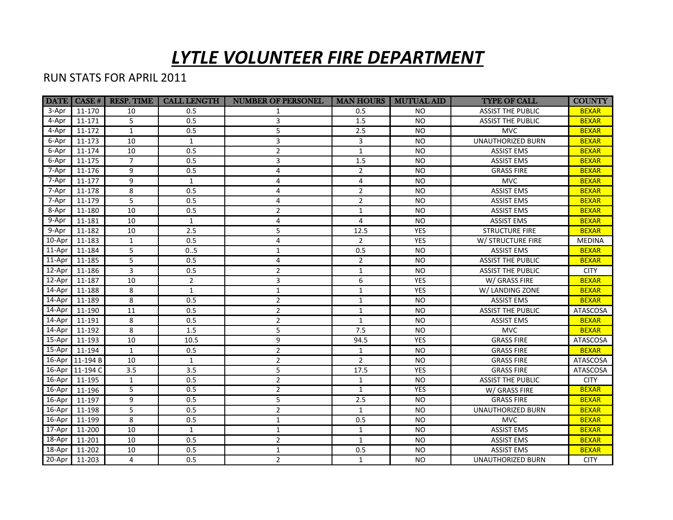## *LYTLE VOLUNTEER FIRE DEPARTMENT*

## RUN STATS FOR APRIL 2011

|          | <b>DATE</b> CASE # | <b>RESP. TIME</b> | <b>CALL LENGTH</b> | <b>NUMBER OF PERSONEL</b> |                | <b>MAN HOURS   MUTUAL AID</b> | <b>TYPE OF CALL</b>      | <b>COUNTY</b> |
|----------|--------------------|-------------------|--------------------|---------------------------|----------------|-------------------------------|--------------------------|---------------|
| 3-Apr    | 11-170             | 10                | 0.5                | $\mathbf{1}$              | 0.5            | NO.                           | <b>ASSIST THE PUBLIC</b> | <b>BEXAR</b>  |
| 4-Apr    | 11-171             | 5                 | 0.5                | 3                         | 1.5            | <b>NO</b>                     | <b>ASSIST THE PUBLIC</b> | <b>BEXAR</b>  |
| 4-Apr    | 11-172             | $\mathbf{1}$      | 0.5                | 5                         | 2.5            | <b>NO</b>                     | <b>MVC</b>               | <b>BEXAR</b>  |
| 6-Apr    | 11-173             | 10                | $\mathbf{1}$       | 3                         | 3              | <b>NO</b>                     | <b>UNAUTHORIZED BURN</b> | <b>BEXAR</b>  |
| 6-Apr    | 11-174             | 10                | 0.5                | $\overline{2}$            | $\mathbf{1}$   | <b>NO</b>                     | <b>ASSIST EMS</b>        | <b>BEXAR</b>  |
| 6-Apr    | 11-175             | $\overline{7}$    | 0.5                | 3                         | 1.5            | <b>NO</b>                     | <b>ASSIST EMS</b>        | <b>BEXAR</b>  |
| 7-Apr    | 11-176             | 9                 | 0.5                | 4                         | $\overline{2}$ | <b>NO</b>                     | <b>GRASS FIRE</b>        | <b>BEXAR</b>  |
| 7-Apr    | 11-177             | 9                 | $\mathbf{1}$       | 4                         | $\overline{4}$ | <b>NO</b>                     | <b>MVC</b>               | <b>BEXAR</b>  |
| 7-Apr    | 11-178             | 8                 | 0.5                | 4                         | $\overline{2}$ | <b>NO</b>                     | <b>ASSIST EMS</b>        | <b>BEXAR</b>  |
| 7-Apr    | 11-179             | 5                 | 0.5                | 4                         | $\overline{2}$ | <b>NO</b>                     | <b>ASSIST EMS</b>        | <b>BEXAR</b>  |
| 8-Apr    | 11-180             | 10                | 0.5                | $\overline{2}$            | $\mathbf{1}$   | <b>NO</b>                     | <b>ASSIST EMS</b>        | <b>BEXAR</b>  |
| 9-Apr    | 11-181             | 10                | $\mathbf{1}$       | 4                         | $\overline{4}$ | <b>NO</b>                     | <b>ASSIST EMS</b>        | <b>BEXAR</b>  |
| 9-Apr    | 11-182             | 10                | 2.5                | 5                         | 12.5           | YES                           | <b>STRUCTURE FIRE</b>    | <b>BEXAR</b>  |
| 10-Apr   | 11-183             | $\mathbf{1}$      | 0.5                | 4                         | 2              | YES                           | W/ STRUCTURE FIRE        | <b>MEDINA</b> |
| $11-Apr$ | 11-184             | 5                 | 0.5                | $\mathbf{1}$              | 0.5            | <b>NO</b>                     | <b>ASSIST EMS</b>        | <b>BEXAR</b>  |
| $11-Apr$ | 11-185             | 5                 | 0.5                | 4                         | $\overline{2}$ | NO.                           | <b>ASSIST THE PUBLIC</b> | <b>BEXAR</b>  |
| 12-Apr   | 11-186             | 3                 | 0.5                | $\overline{2}$            | $\mathbf{1}$   | <b>NO</b>                     | <b>ASSIST THE PUBLIC</b> | <b>CITY</b>   |
| 12-Apr   | 11-187             | 10                | $\overline{2}$     | 3                         | 6              | <b>YES</b>                    | W/ GRASS FIRE            | <b>BEXAR</b>  |
| 14-Apr   | 11-188             | 8                 | $\mathbf{1}$       | $\mathbf{1}$              | $\mathbf{1}$   | <b>YES</b>                    | W/ LANDING ZONE          | <b>BEXAR</b>  |
| 14-Apr   | 11-189             | 8                 | 0.5                | $\overline{2}$            | $\mathbf{1}$   | <b>NO</b>                     | <b>ASSIST EMS</b>        | <b>BEXAR</b>  |
| 14-Apr   | 11-190             | 11                | 0.5                | $\overline{2}$            | $\mathbf{1}$   | <b>NO</b>                     | <b>ASSIST THE PUBLIC</b> | ATASCOSA      |
| 14-Apr   | 11-191             | 8                 | 0.5                | $\overline{2}$            | $\mathbf{1}$   | <b>NO</b>                     | <b>ASSIST EMS</b>        | <b>BEXAR</b>  |
| 14-Apr   | 11-192             | 8                 | 1.5                | 5                         | 7.5            | <b>NO</b>                     | <b>MVC</b>               | <b>BEXAR</b>  |
| 15-Apr   | 11-193             | 10                | 10.5               | 9                         | 94.5           | <b>YES</b>                    | <b>GRASS FIRE</b>        | ATASCOSA      |
| 15-Apr   | 11-194             | $\mathbf{1}$      | 0.5                | $\overline{2}$            | $\mathbf{1}$   | NO.                           | <b>GRASS FIRE</b>        | <b>BEXAR</b>  |
| 16-Apr   | $11 - 194B$        | 10                | $\mathbf{1}$       | $\overline{2}$            | $\overline{2}$ | <b>NO</b>                     | <b>GRASS FIRE</b>        | ATASCOSA      |
| 16-Apr   | 11-194 C           | 3.5               | 3.5                | 5                         | 17.5           | <b>YES</b>                    | <b>GRASS FIRE</b>        | ATASCOSA      |
| 16-Apr   | 11-195             | $\mathbf{1}$      | 0.5                | $\overline{2}$            | $\mathbf{1}$   | <b>NO</b>                     | <b>ASSIST THE PUBLIC</b> | <b>CITY</b>   |
| 16-Apr   | 11-196             | 5                 | 0.5                | $\overline{2}$            | $\mathbf{1}$   | <b>YES</b>                    | W/ GRASS FIRE            | <b>BEXAR</b>  |
| 16-Apr   | 11-197             | 9                 | 0.5                | 5                         | 2.5            | <b>NO</b>                     | <b>GRASS FIRE</b>        | <b>BEXAR</b>  |
| 16-Apr   | 11-198             | 5                 | 0.5                | $\overline{2}$            | $\mathbf{1}$   | <b>NO</b>                     | UNAUTHORIZED BURN        | <b>BEXAR</b>  |
| 16-Apr   | 11-199             | 8                 | 0.5                | $\mathbf{1}$              | 0.5            | <b>NO</b>                     | <b>MVC</b>               | <b>BEXAR</b>  |
| 17-Apr   | 11-200             | 10                | $\mathbf{1}$       | $\mathbf{1}$              | $\mathbf{1}$   | NO.                           | <b>ASSIST EMS</b>        | <b>BEXAR</b>  |
| 18-Apr   | 11-201             | 10                | 0.5                | $\overline{2}$            | $\mathbf{1}$   | NO.                           | <b>ASSIST EMS</b>        | <b>BEXAR</b>  |
| 18-Apr   | 11-202             | 10                | 0.5                | $\mathbf{1}$              | 0.5            | NO.                           | <b>ASSIST EMS</b>        | <b>BEXAR</b>  |
| 20-Apr   | $11-203$           | $\overline{4}$    | 0.5                | $\overline{2}$            | $\mathbf{1}$   | NO.                           | <b>UNAUTHORIZED BURN</b> | <b>CITY</b>   |